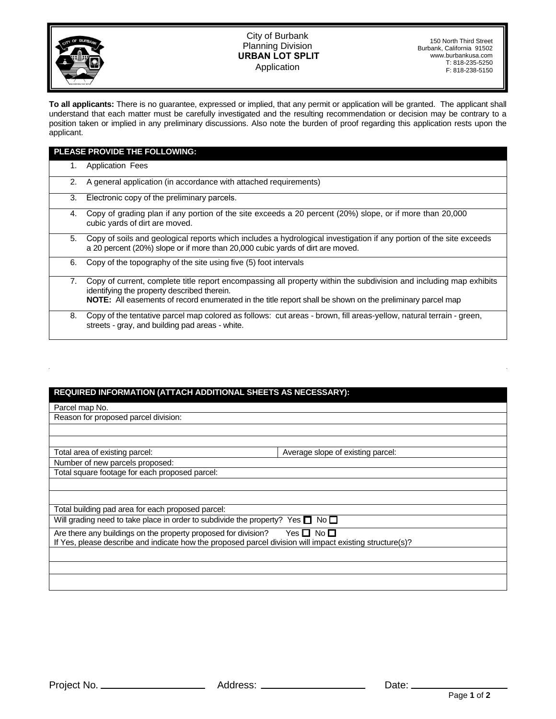

## City of Burbank Planning Division  **URBAN LOT SPLIT Application**

**To all applicants:** There is no guarantee, expressed or implied, that any permit or application will be granted. The applicant shall understand that each matter must be carefully investigated and the resulting recommendation or decision may be contrary to a position taken or implied in any preliminary discussions. Also note the burden of proof regarding this application rests upon the applicant.

| PLEASE PROVIDE THE FOLLOWING: |                                                                                                                                                                                                                                                                                |
|-------------------------------|--------------------------------------------------------------------------------------------------------------------------------------------------------------------------------------------------------------------------------------------------------------------------------|
| 1.                            | <b>Application Fees</b>                                                                                                                                                                                                                                                        |
| 2.                            | A general application (in accordance with attached requirements)                                                                                                                                                                                                               |
| 3.                            | Electronic copy of the preliminary parcels.                                                                                                                                                                                                                                    |
| 4.                            | Copy of grading plan if any portion of the site exceeds a 20 percent (20%) slope, or if more than 20,000<br>cubic yards of dirt are moved.                                                                                                                                     |
| 5.                            | Copy of soils and geological reports which includes a hydrological investigation if any portion of the site exceeds<br>a 20 percent (20%) slope or if more than 20,000 cubic yards of dirt are moved.                                                                          |
| 6.                            | Copy of the topography of the site using five (5) foot intervals                                                                                                                                                                                                               |
| 7.                            | Copy of current, complete title report encompassing all property within the subdivision and including map exhibits<br>identifying the property described therein.<br>NOTE: All easements of record enumerated in the title report shall be shown on the preliminary parcel map |
| 8.                            | Copy of the tentative parcel map colored as follows: cut areas - brown, fill areas-yellow, natural terrain - green,<br>streets - gray, and building pad areas - white.                                                                                                         |

## **REQUIRED INFORMATION (ATTACH ADDITIONAL SHEETS AS NECESSARY):**

Parcel map No.

Reason for proposed parcel division:

Total area of existing parcel: **Average** slope of existing parcel:

Number of new parcels proposed: Total square footage for each proposed parcel:

Total building pad area for each proposed parcel:

Will grading need to take place in order to subdivide the property? Yes  $\square$  No  $\square$ 

Are there any buildings on the property proposed for division? Yes  $\Box$  No  $\Box$ If Yes, please describe and indicate how the proposed parcel division will impact existing structure(s)?